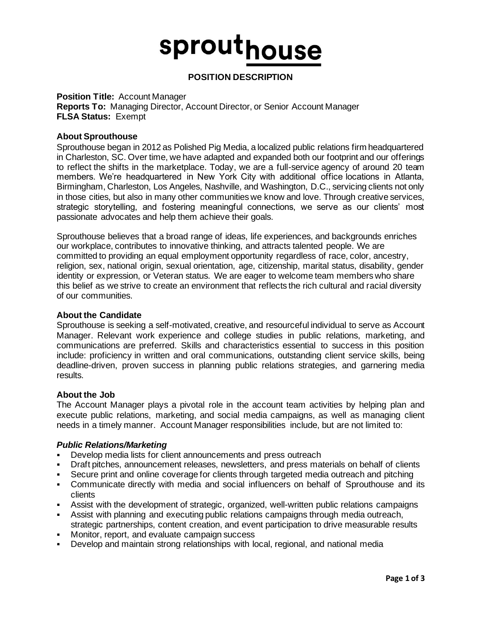## sprouthouse

### **POSITION DESCRIPTION**

### **Position Title:** Account Manager

**Reports To:** Managing Director, Account Director, or Senior Account Manager **FLSA Status:** Exempt

### **About Sprouthouse**

Sprouthouse began in 2012 as Polished Pig Media, a localized public relations firm headquartered in Charleston, SC. Over time, we have adapted and expanded both our footprint and our offerings to reflect the shifts in the marketplace. Today, we are a full-service agency of around 20 team members. We're headquartered in New York City with additional office locations in Atlanta, Birmingham, Charleston, Los Angeles, Nashville, and Washington, D.C., servicing clients not only in those cities, but also in many other communities we know and love. Through creative services, strategic storytelling, and fostering meaningful connections, we serve as our clients' most passionate advocates and help them achieve their goals.

Sprouthouse believes that a broad range of ideas, life experiences, and backgrounds enriches our workplace, contributes to innovative thinking, and attracts talented people. We are committed to providing an equal employment opportunity regardless of race, color, ancestry, religion, sex, national origin, sexual orientation, age, citizenship, marital status, disability, gender identity or expression, or Veteran status. We are eager to welcome team members who share this belief as we strive to create an environment that reflects the rich cultural and racial diversity of our communities.

### **About the Candidate**

Sprouthouse is seeking a self-motivated, creative, and resourceful individual to serve as Account Manager. Relevant work experience and college studies in public relations, marketing, and communications are preferred. Skills and characteristics essential to success in this position include: proficiency in written and oral communications, outstanding client service skills, being deadline-driven, proven success in planning public relations strategies, and garnering media results.

### **About the Job**

The Account Manager plays a pivotal role in the account team activities by helping plan and execute public relations, marketing, and social media campaigns, as well as managing client needs in a timely manner. Account Manager responsibilities include, but are not limited to:

### *Public Relations/Marketing*

- Develop media lists for client announcements and press outreach
- Draft pitches, announcement releases, newsletters, and press materials on behalf of clients
- Secure print and online coverage for clients through targeted media outreach and pitching
- Communicate directly with media and social influencers on behalf of Sprouthouse and its clients
- Assist with the development of strategic, organized, well-written public relations campaigns
- Assist with planning and executing public relations campaigns through media outreach, strategic partnerships, content creation, and event participation to drive measurable results
- Monitor, report, and evaluate campaign success
- Develop and maintain strong relationships with local, regional, and national media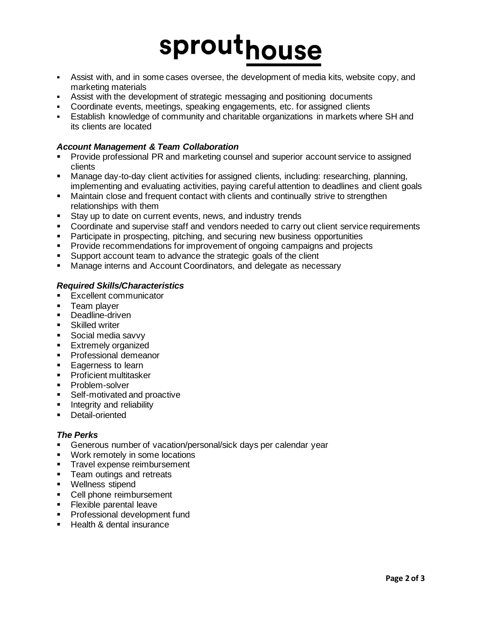# sprouthouse

- Assist with, and in some cases oversee, the development of media kits, website copy, and marketing materials
- Assist with the development of strategic messaging and positioning documents
- Coordinate events, meetings, speaking engagements, etc. for assigned clients
- **E** Establish knowledge of community and charitable organizations in markets where SH and its clients are located

### *Account Management & Team Collaboration*

- Provide professional PR and marketing counsel and superior account service to assigned clients
- Manage day-to-day client activities for assigned clients, including: researching, planning, implementing and evaluating activities, paying careful attention to deadlines and client goals
- **■** Maintain close and frequent contact with clients and continually strive to strengthen relationships with them
- Stay up to date on current events, news, and industry trends
- Coordinate and supervise staff and vendors needed to carry out client service requirements
- **•** Participate in prospecting, pitching, and securing new business opportunities
- **Provide recommendations for improvement of ongoing campaigns and projects**
- Support account team to advance the strategic goals of the client
- Manage interns and Account Coordinators, and delegate as necessary

### *Required Skills/Characteristics*

- Excellent communicator
- **EXEC** Team player
- Deadline-driven
- Skilled writer
- Social media savvy
- **Extremely organized**
- **•** Professional demeanor
- Eagerness to learn
- Proficient multitasker
- Problem-solver
- Self-motivated and proactive
- Integrity and reliability
- Detail-oriented

### *The Perks*

- **EXEC** Generous number of vacation/personal/sick days per calendar year
- Work remotely in some locations
- **•** Travel expense reimbursement
- **•** Team outings and retreats
- Wellness stipend
- Cell phone reimbursement
- **Exible parental leave**
- **•** Professional development fund
- Health & dental insurance